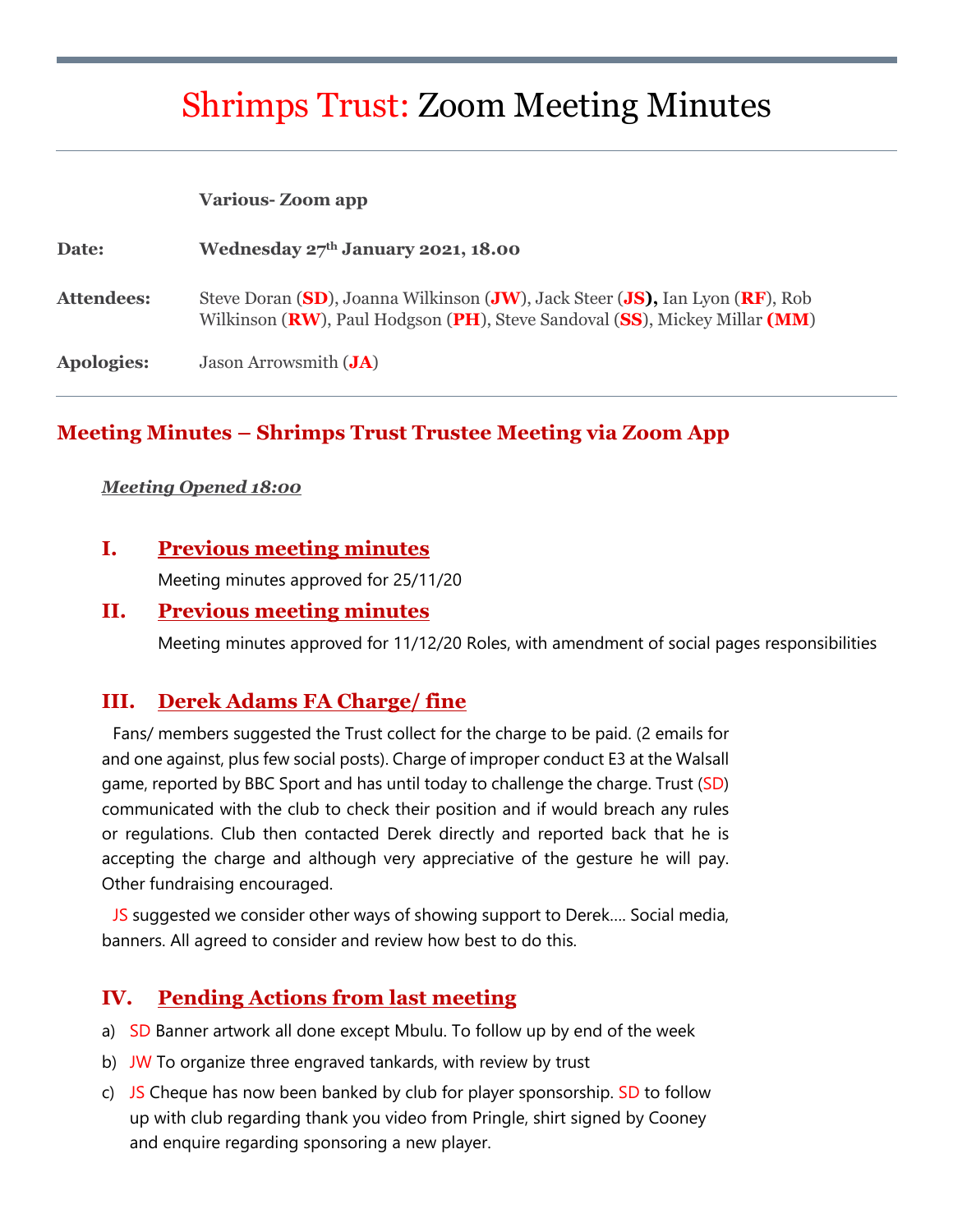# Shrimps Trust: Zoom Meeting Minutes

#### **Various- Zoom app**

| Date:      | Wednesday 27th January 2021, 18.00                                                                                                                         |
|------------|------------------------------------------------------------------------------------------------------------------------------------------------------------|
| Attendees: | Steve Doran (SD), Joanna Wilkinson (JW), Jack Steer (JS), Ian Lyon (RF), Rob<br>Wilkinson (RW), Paul Hodgson (PH), Steve Sandoval (SS), Mickey Millar (MM) |
| Apologies: | Jason Arrowsmith ( <b>JA</b> )                                                                                                                             |

## **Meeting Minutes – Shrimps Trust Trustee Meeting via Zoom App**

#### *Meeting Opened 18:00*

## **I. Previous meeting minutes**

Meeting minutes approved for 25/11/20

## **II. Previous meeting minutes**

Meeting minutes approved for 11/12/20 Roles, with amendment of social pages responsibilities

## **III. Derek Adams FA Charge/ fine**

Fans/ members suggested the Trust collect for the charge to be paid. (2 emails for and one against, plus few social posts). Charge of improper conduct E3 at the Walsall game, reported by BBC Sport and has until today to challenge the charge. Trust (SD) communicated with the club to check their position and if would breach any rules or regulations. Club then contacted Derek directly and reported back that he is accepting the charge and although very appreciative of the gesture he will pay. Other fundraising encouraged.

JS suggested we consider other ways of showing support to Derek…. Social media, banners. All agreed to consider and review how best to do this.

## **IV. Pending Actions from last meeting**

- a) SD Banner artwork all done except Mbulu. To follow up by end of the week
- b) JW To organize three engraved tankards, with review by trust
- c) JS Cheque has now been banked by club for player sponsorship. SD to follow up with club regarding thank you video from Pringle, shirt signed by Cooney and enquire regarding sponsoring a new player.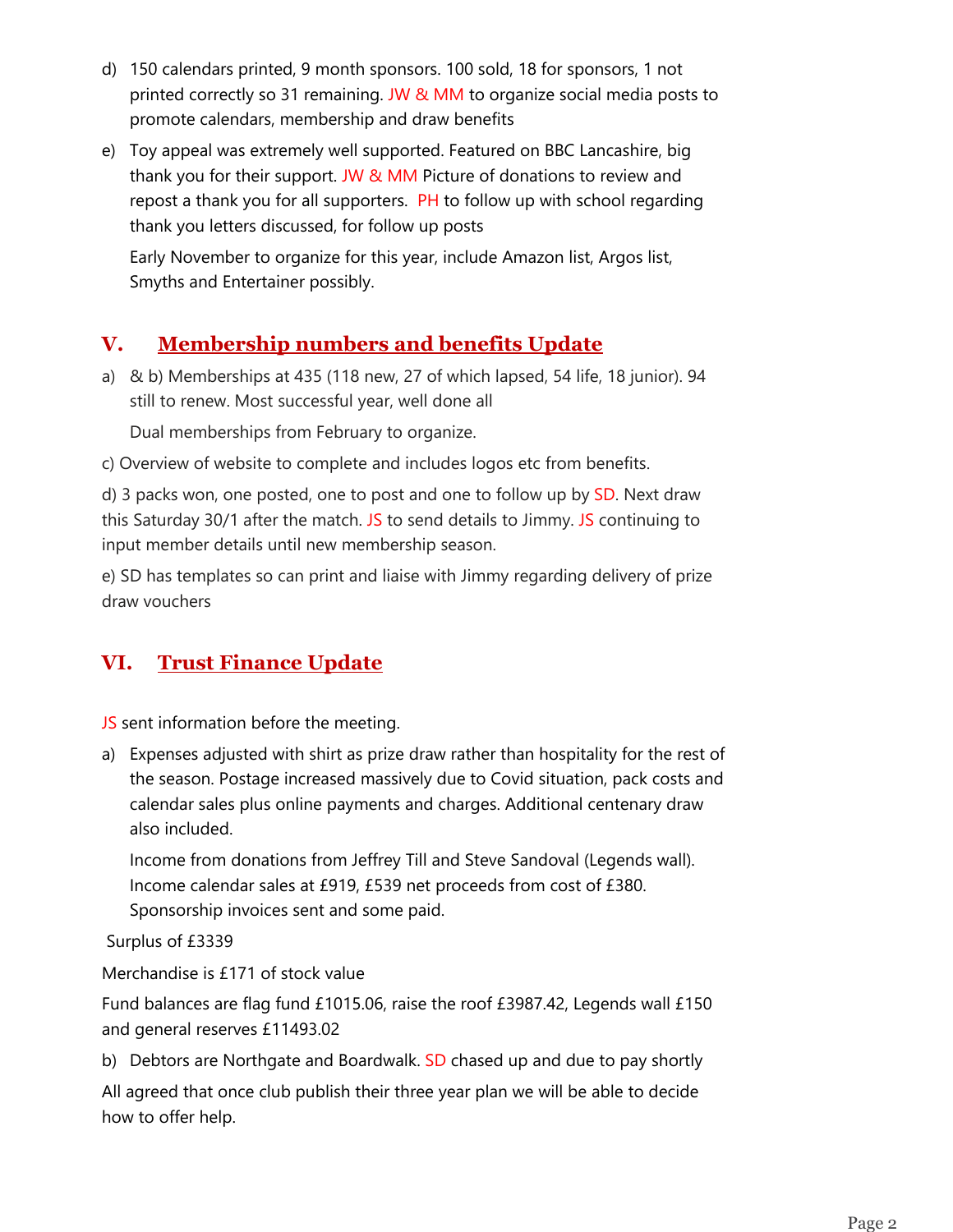- d) 150 calendars printed, 9 month sponsors. 100 sold, 18 for sponsors, 1 not printed correctly so 31 remaining. JW & MM to organize social media posts to promote calendars, membership and draw benefits
- e) Toy appeal was extremely well supported. Featured on BBC Lancashire, big thank you for their support. JW & MM Picture of donations to review and repost a thank you for all supporters. PH to follow up with school regarding thank you letters discussed, for follow up posts

Early November to organize for this year, include Amazon list, Argos list, Smyths and Entertainer possibly.

# **V. Membership numbers and benefits Update**

a) & b) Memberships at 435 (118 new, 27 of which lapsed, 54 life, 18 junior). 94 still to renew. Most successful year, well done all

Dual memberships from February to organize.

c) Overview of website to complete and includes logos etc from benefits.

d) 3 packs won, one posted, one to post and one to follow up by SD. Next draw this Saturday 30/1 after the match. JS to send details to Jimmy. JS continuing to input member details until new membership season.

e) SD has templates so can print and liaise with Jimmy regarding delivery of prize draw vouchers

# **VI. Trust Finance Update**

JS sent information before the meeting.

a) Expenses adjusted with shirt as prize draw rather than hospitality for the rest of the season. Postage increased massively due to Covid situation, pack costs and calendar sales plus online payments and charges. Additional centenary draw also included.

Income from donations from Jeffrey Till and Steve Sandoval (Legends wall). Income calendar sales at £919, £539 net proceeds from cost of £380. Sponsorship invoices sent and some paid.

Surplus of £3339

Merchandise is £171 of stock value

Fund balances are flag fund £1015.06, raise the roof £3987.42, Legends wall £150 and general reserves £11493.02

b) Debtors are Northgate and Boardwalk. SD chased up and due to pay shortly

All agreed that once club publish their three year plan we will be able to decide how to offer help.